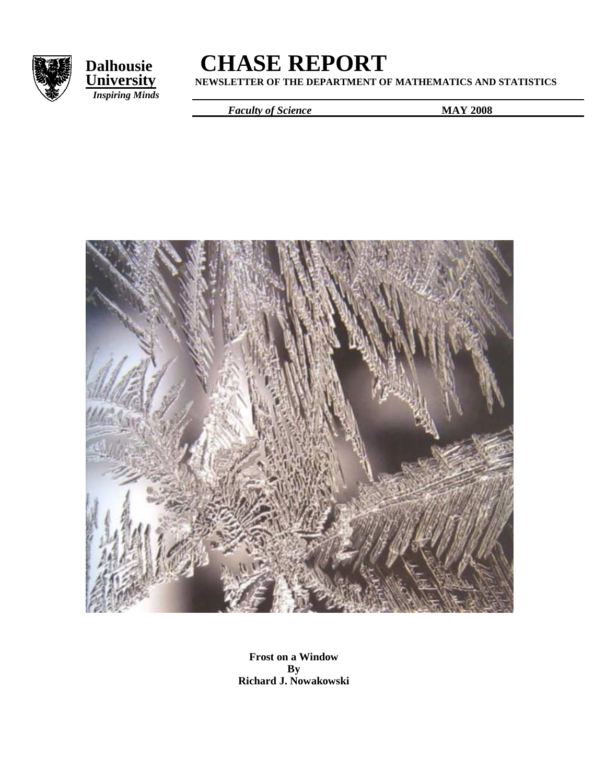



# **Dalhousie**<br> **CHASE REPORT**<br> **CHASE REPORT**<br> **CHASE REPORT**

**University NEWSLETTER OF THE DEPARTMENT OF MATHEMATICS AND STATISTICS**

*Faculty of Science* **MAY 2008** 



**Frost on a Window By Richard J. Nowakowski**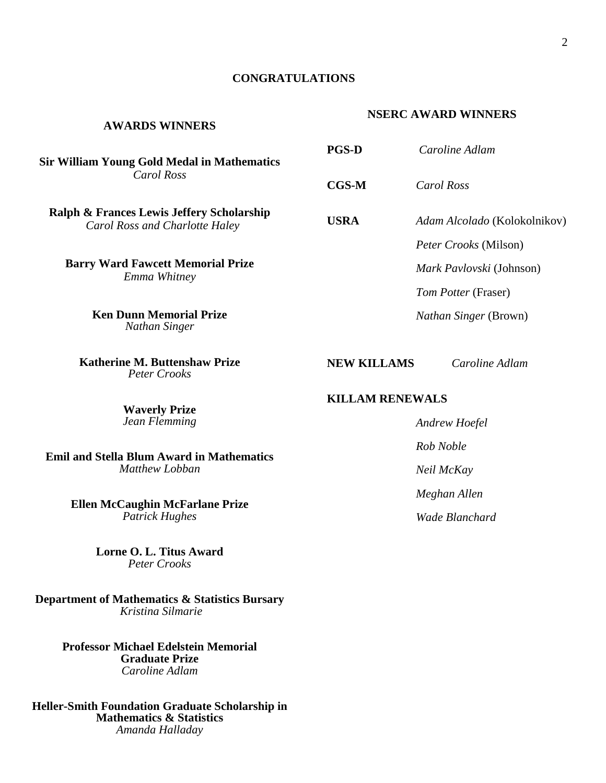#### **CONGRATULATIONS**

#### **AWARDS WINNERS**

**Sir William Young Gold Medal in Mathematics** *Carol Ross* 

**Ralph & Frances Lewis Jeffery Scholarship**   *Carol Ross and Charlotte Haley* 

**Barry Ward Fawcett Memorial Prize**  *Emma Whitney* 

> **Ken Dunn Memorial Prize**  *Nathan Singer*

**Katherine M. Buttenshaw Prize**  *Peter Crooks* 

> **Waverly Prize**  *Jean Flemming*

**Emil and Stella Blum Award in Mathematics** *Matthew Lobban* 

> **Ellen McCaughin McFarlane Prize** *Patrick Hughes*

> > **Lorne O. L. Titus Award** *Peter Crooks*

**Department of Mathematics & Statistics Bursary**   *Kristina Silmarie* 

> **Professor Michael Edelstein Memorial Graduate Prize**  *Caroline Adlam*

**Heller-Smith Foundation Graduate Scholarship in Mathematics & Statistics**  *Amanda Halladay* 

| <b>PGS-D</b> | Caroline Adlam                      |
|--------------|-------------------------------------|
| CGS-M        | Carol Ross                          |
| USRA         | <i>Adam Alcolado</i> (Kolokolnikov) |
|              | <i>Peter Crooks</i> (Milson)        |
|              | Mark Pavlovski (Johnson)            |
|              | Tom Potter (Fraser)                 |
|              | <i>Nathan Singer</i> (Brown)        |
|              |                                     |

 **NEW KILLAMS** *Caroline Adlam* 

 **KILLAM RENEWALS** 

*Andrew Hoefel Rob Noble Neil McKay Meghan Allen Wade Blanchard* 

# **NSERC AWARD WINNERS**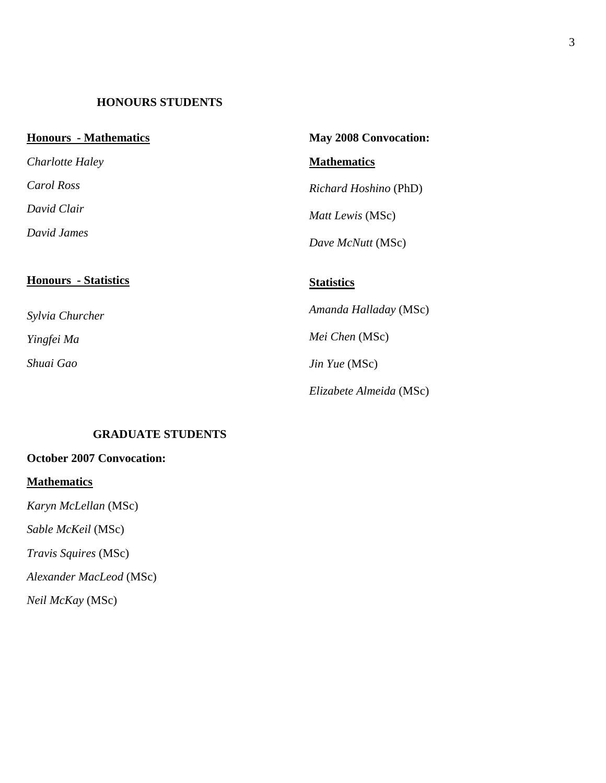# **HONOURS STUDENTS**

| <b>Honours</b> - Mathematics | <b>May 2008 Convocation:</b> |
|------------------------------|------------------------------|
| Charlotte Haley              | <b>Mathematics</b>           |
| Carol Ross                   | <i>Richard Hoshino</i> (PhD) |
| David Clair                  | Matt Lewis (MSc)             |
| David James                  | Dave McNutt (MSc)            |
| <b>Honours</b> - Statistics  | <b>Statistics</b>            |
| Sylvia Churcher              | Amanda Halladay (MSc)        |
| Yingfei Ma                   | Mei Chen (MSc)               |
| Shuai Gao                    | Jin Yue (MSc)                |
|                              | Elizabete Almeida (MSc)      |

# **GRADUATE STUDENTS**

# **October 2007 Convocation:**

# **Mathematics**

*Karyn McLellan* (MSc)

*Sable McKeil* (MSc)

*Travis Squires* (MSc)

*Alexander MacLeod* (MSc)

*Neil McKay* (MSc)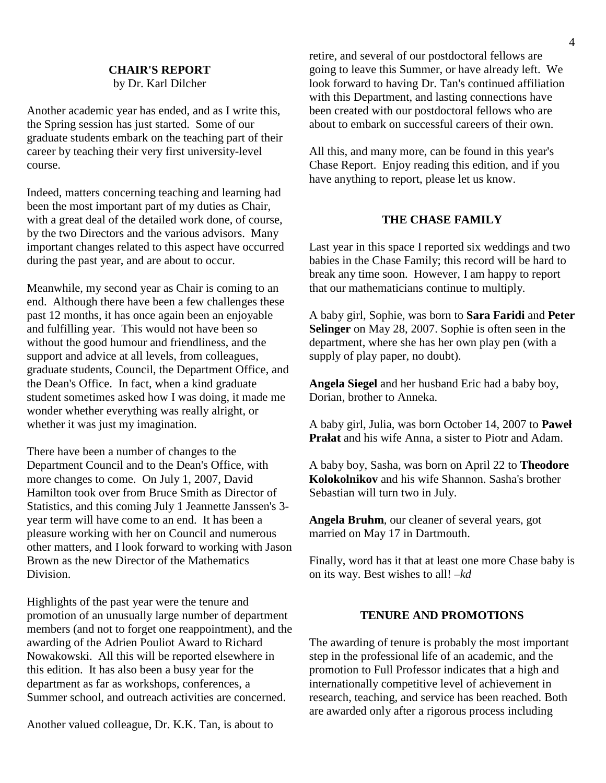# **CHAIR'S REPORT**

by Dr. Karl Dilcher

Another academic year has ended, and as I write this, the Spring session has just started. Some of our graduate students embark on the teaching part of their career by teaching their very first university-level course.

Indeed, matters concerning teaching and learning had been the most important part of my duties as Chair, with a great deal of the detailed work done, of course, by the two Directors and the various advisors. Many important changes related to this aspect have occurred during the past year, and are about to occur.

Meanwhile, my second year as Chair is coming to an end. Although there have been a few challenges these past 12 months, it has once again been an enjoyable and fulfilling year. This would not have been so without the good humour and friendliness, and the support and advice at all levels, from colleagues, graduate students, Council, the Department Office, and the Dean's Office. In fact, when a kind graduate student sometimes asked how I was doing, it made me wonder whether everything was really alright, or whether it was just my imagination.

There have been a number of changes to the Department Council and to the Dean's Office, with more changes to come. On July 1, 2007, David Hamilton took over from Bruce Smith as Director of Statistics, and this coming July 1 Jeannette Janssen's 3 year term will have come to an end. It has been a pleasure working with her on Council and numerous other matters, and I look forward to working with Jason Brown as the new Director of the Mathematics Division.

Highlights of the past year were the tenure and promotion of an unusually large number of department members (and not to forget one reappointment), and the awarding of the Adrien Pouliot Award to Richard Nowakowski. All this will be reported elsewhere in this edition. It has also been a busy year for the department as far as workshops, conferences, a Summer school, and outreach activities are concerned.

Another valued colleague, Dr. K.K. Tan, is about to

retire, and several of our postdoctoral fellows are going to leave this Summer, or have already left. We look forward to having Dr. Tan's continued affiliation with this Department, and lasting connections have been created with our postdoctoral fellows who are about to embark on successful careers of their own.

All this, and many more, can be found in this year's Chase Report. Enjoy reading this edition, and if you have anything to report, please let us know.

#### **THE CHASE FAMILY**

Last year in this space I reported six weddings and two babies in the Chase Family; this record will be hard to break any time soon. However, I am happy to report that our mathematicians continue to multiply.

A baby girl, Sophie, was born to **Sara Faridi** and **Peter Selinger** on May 28, 2007. Sophie is often seen in the department, where she has her own play pen (with a supply of play paper, no doubt).

**Angela Siegel** and her husband Eric had a baby boy, Dorian, brother to Anneka.

A baby girl, Julia, was born October 14, 2007 to **Paweł Prałat** and his wife Anna, a sister to Piotr and Adam.

A baby boy, Sasha, was born on April 22 to **Theodore Kolokolnikov** and his wife Shannon. Sasha's brother Sebastian will turn two in July.

**Angela Bruhm**, our cleaner of several years, got married on May 17 in Dartmouth.

Finally, word has it that at least one more Chase baby is on its way. Best wishes to all! –*kd* 

#### **TENURE AND PROMOTIONS**

The awarding of tenure is probably the most important step in the professional life of an academic, and the promotion to Full Professor indicates that a high and internationally competitive level of achievement in research, teaching, and service has been reached. Both are awarded only after a rigorous process including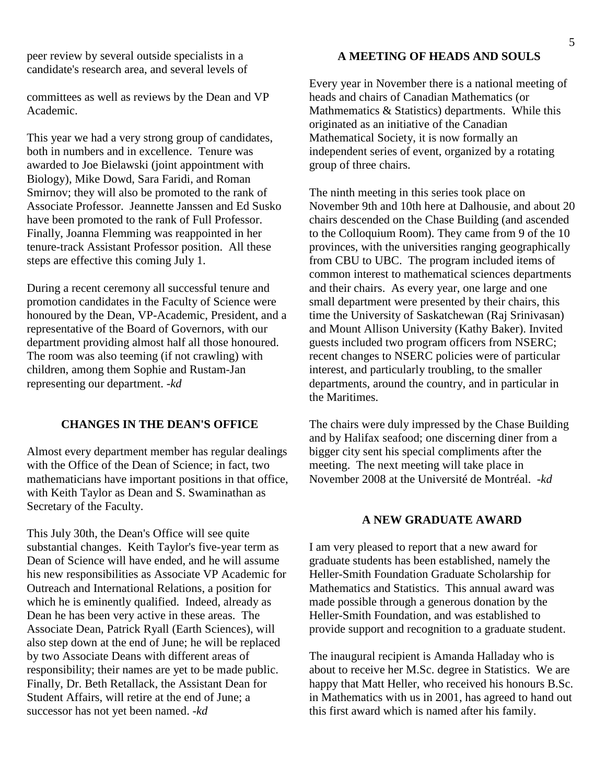peer review by several outside specialists in a candidate's research area, and several levels of

committees as well as reviews by the Dean and VP Academic.

This year we had a very strong group of candidates, both in numbers and in excellence. Tenure was awarded to Joe Bielawski (joint appointment with Biology), Mike Dowd, Sara Faridi, and Roman Smirnov; they will also be promoted to the rank of Associate Professor. Jeannette Janssen and Ed Susko have been promoted to the rank of Full Professor. Finally, Joanna Flemming was reappointed in her tenure-track Assistant Professor position. All these steps are effective this coming July 1.

During a recent ceremony all successful tenure and promotion candidates in the Faculty of Science were honoured by the Dean, VP-Academic, President, and a representative of the Board of Governors, with our department providing almost half all those honoured. The room was also teeming (if not crawling) with children, among them Sophie and Rustam-Jan representing our department. -*kd* 

# **CHANGES IN THE DEAN'S OFFICE**

Almost every department member has regular dealings with the Office of the Dean of Science; in fact, two mathematicians have important positions in that office, with Keith Taylor as Dean and S. Swaminathan as Secretary of the Faculty.

This July 30th, the Dean's Office will see quite substantial changes. Keith Taylor's five-year term as Dean of Science will have ended, and he will assume his new responsibilities as Associate VP Academic for Outreach and International Relations, a position for which he is eminently qualified. Indeed, already as Dean he has been very active in these areas. The Associate Dean, Patrick Ryall (Earth Sciences), will also step down at the end of June; he will be replaced by two Associate Deans with different areas of responsibility; their names are yet to be made public. Finally, Dr. Beth Retallack, the Assistant Dean for Student Affairs, will retire at the end of June; a successor has not yet been named. -*kd*

# **A MEETING OF HEADS AND SOULS**

Every year in November there is a national meeting of heads and chairs of Canadian Mathematics (or Mathmematics & Statistics) departments. While this originated as an initiative of the Canadian Mathematical Society, it is now formally an independent series of event, organized by a rotating group of three chairs.

The ninth meeting in this series took place on November 9th and 10th here at Dalhousie, and about 20 chairs descended on the Chase Building (and ascended to the Colloquium Room). They came from 9 of the 10 provinces, with the universities ranging geographically from CBU to UBC. The program included items of common interest to mathematical sciences departments and their chairs. As every year, one large and one small department were presented by their chairs, this time the University of Saskatchewan (Raj Srinivasan) and Mount Allison University (Kathy Baker). Invited guests included two program officers from NSERC; recent changes to NSERC policies were of particular interest, and particularly troubling, to the smaller departments, around the country, and in particular in the Maritimes.

The chairs were duly impressed by the Chase Building and by Halifax seafood; one discerning diner from a bigger city sent his special compliments after the meeting. The next meeting will take place in November 2008 at the Université de Montréal. -*kd*

#### **A NEW GRADUATE AWARD**

I am very pleased to report that a new award for graduate students has been established, namely the Heller-Smith Foundation Graduate Scholarship for Mathematics and Statistics. This annual award was made possible through a generous donation by the Heller-Smith Foundation, and was established to provide support and recognition to a graduate student.

The inaugural recipient is Amanda Halladay who is about to receive her M.Sc. degree in Statistics. We are happy that Matt Heller, who received his honours B.Sc. in Mathematics with us in 2001, has agreed to hand out this first award which is named after his family.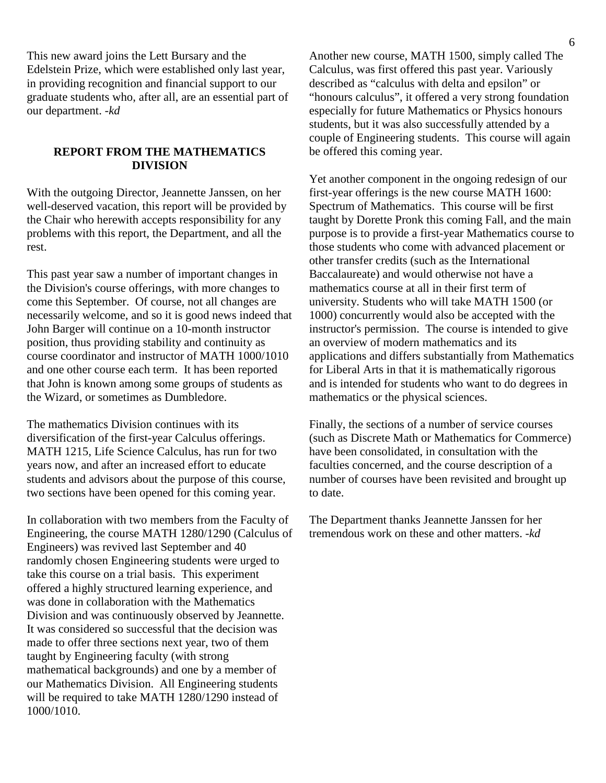This new award joins the Lett Bursary and the Edelstein Prize, which were established only last year, in providing recognition and financial support to our graduate students who, after all, are an essential part of our department. -*kd*

# **REPORT FROM THE MATHEMATICS DIVISION**

With the outgoing Director, Jeannette Janssen, on her well-deserved vacation, this report will be provided by the Chair who herewith accepts responsibility for any problems with this report, the Department, and all the rest.

This past year saw a number of important changes in the Division's course offerings, with more changes to come this September. Of course, not all changes are necessarily welcome, and so it is good news indeed that John Barger will continue on a 10-month instructor position, thus providing stability and continuity as course coordinator and instructor of MATH 1000/1010 and one other course each term. It has been reported that John is known among some groups of students as the Wizard, or sometimes as Dumbledore.

The mathematics Division continues with its diversification of the first-year Calculus offerings. MATH 1215, Life Science Calculus, has run for two years now, and after an increased effort to educate students and advisors about the purpose of this course, two sections have been opened for this coming year.

In collaboration with two members from the Faculty of Engineering, the course MATH 1280/1290 (Calculus of Engineers) was revived last September and 40 randomly chosen Engineering students were urged to take this course on a trial basis. This experiment offered a highly structured learning experience, and was done in collaboration with the Mathematics Division and was continuously observed by Jeannette. It was considered so successful that the decision was made to offer three sections next year, two of them taught by Engineering faculty (with strong mathematical backgrounds) and one by a member of our Mathematics Division. All Engineering students will be required to take MATH 1280/1290 instead of 1000/1010.

Another new course, MATH 1500, simply called The Calculus, was first offered this past year. Variously described as "calculus with delta and epsilon" or "honours calculus", it offered a very strong foundation especially for future Mathematics or Physics honours students, but it was also successfully attended by a couple of Engineering students. This course will again be offered this coming year.

Yet another component in the ongoing redesign of our first-year offerings is the new course MATH 1600: Spectrum of Mathematics. This course will be first taught by Dorette Pronk this coming Fall, and the main purpose is to provide a first-year Mathematics course to those students who come with advanced placement or other transfer credits (such as the International Baccalaureate) and would otherwise not have a mathematics course at all in their first term of university. Students who will take MATH 1500 (or 1000) concurrently would also be accepted with the instructor's permission. The course is intended to give an overview of modern mathematics and its applications and differs substantially from Mathematics for Liberal Arts in that it is mathematically rigorous and is intended for students who want to do degrees in mathematics or the physical sciences.

Finally, the sections of a number of service courses (such as Discrete Math or Mathematics for Commerce) have been consolidated, in consultation with the faculties concerned, and the course description of a number of courses have been revisited and brought up to date.

The Department thanks Jeannette Janssen for her tremendous work on these and other matters. -*kd*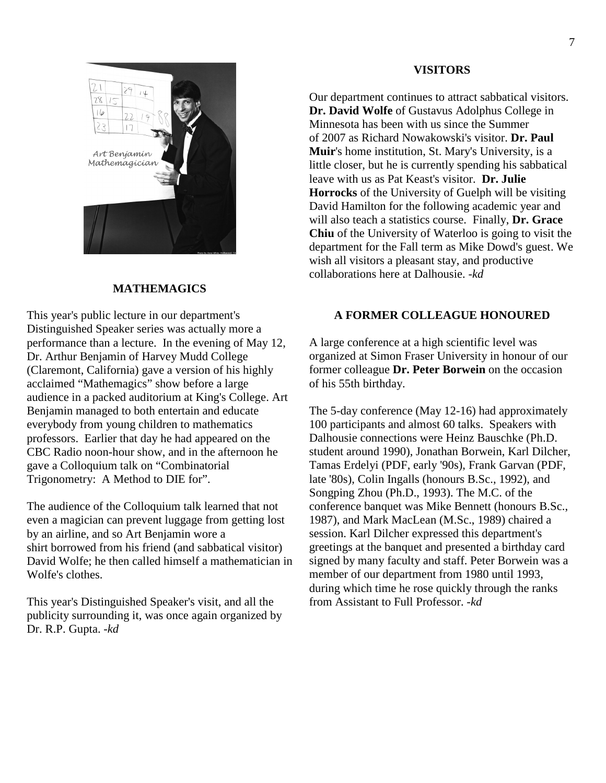#### **VISITORS**

Our department continues to attract sabbatical visitors. **Dr. David Wolfe** of Gustavus Adolphus College in Minnesota has been with us since the Summer of 2007 as Richard Nowakowski's visitor. **Dr. Paul Muir**'s home institution, St. Mary's University, is a little closer, but he is currently spending his sabbatical leave with us as Pat Keast's visitor. **Dr. Julie Horrocks** of the University of Guelph will be visiting David Hamilton for the following academic year and will also teach a statistics course. Finally, **Dr. Grace Chiu** of the University of Waterloo is going to visit the department for the Fall term as Mike Dowd's guest. We wish all visitors a pleasant stay, and productive collaborations here at Dalhousie. -*kd*

# **A FORMER COLLEAGUE HONOURED**

A large conference at a high scientific level was organized at Simon Fraser University in honour of our former colleague **Dr. Peter Borwein** on the occasion of his 55th birthday.

The 5-day conference (May 12-16) had approximately 100 participants and almost 60 talks. Speakers with Dalhousie connections were Heinz Bauschke (Ph.D. student around 1990), Jonathan Borwein, Karl Dilcher, Tamas Erdelyi (PDF, early '90s), Frank Garvan (PDF, late '80s), Colin Ingalls (honours B.Sc., 1992), and Songping Zhou (Ph.D., 1993). The M.C. of the conference banquet was Mike Bennett (honours B.Sc., 1987), and Mark MacLean (M.Sc., 1989) chaired a session. Karl Dilcher expressed this department's greetings at the banquet and presented a birthday card signed by many faculty and staff. Peter Borwein was a member of our department from 1980 until 1993, during which time he rose quickly through the ranks from Assistant to Full Professor. -*kd*



# **MATHEMAGICS**

This year's public lecture in our department's Distinguished Speaker series was actually more a performance than a lecture. In the evening of May 12, Dr. Arthur Benjamin of Harvey Mudd College (Claremont, California) gave a version of his highly acclaimed "Mathemagics" show before a large audience in a packed auditorium at King's College. Art Benjamin managed to both entertain and educate everybody from young children to mathematics professors. Earlier that day he had appeared on the CBC Radio noon-hour show, and in the afternoon he gave a Colloquium talk on "Combinatorial Trigonometry: A Method to DIE for".

The audience of the Colloquium talk learned that not even a magician can prevent luggage from getting lost by an airline, and so Art Benjamin wore a shirt borrowed from his friend (and sabbatical visitor) David Wolfe; he then called himself a mathematician in Wolfe's clothes.

This year's Distinguished Speaker's visit, and all the publicity surrounding it, was once again organized by Dr. R.P. Gupta. -*kd*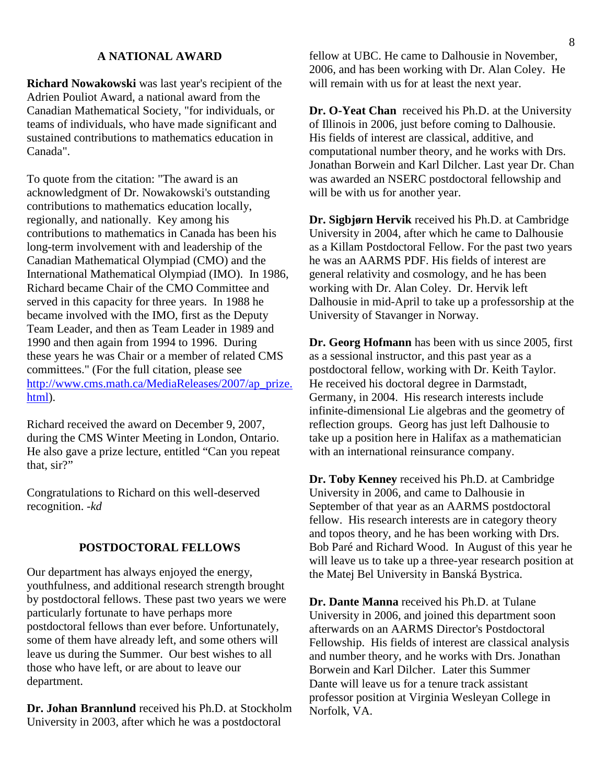# **A NATIONAL AWARD**

**Richard Nowakowski** was last year's recipient of the Adrien Pouliot Award, a national award from the Canadian Mathematical Society, "for individuals, or teams of individuals, who have made significant and sustained contributions to mathematics education in Canada".

To quote from the citation: "The award is an acknowledgment of Dr. Nowakowski's outstanding contributions to mathematics education locally, regionally, and nationally. Key among his contributions to mathematics in Canada has been his long-term involvement with and leadership of the Canadian Mathematical Olympiad (CMO) and the International Mathematical Olympiad (IMO). In 1986, Richard became Chair of the CMO Committee and served in this capacity for three years. In 1988 he became involved with the IMO, first as the Deputy Team Leader, and then as Team Leader in 1989 and 1990 and then again from 1994 to 1996. During these years he was Chair or a member of related CMS committees." (For the full citation, please see http://www.cms.math.ca/MediaReleases/2007/ap\_prize. html).

Richard received the award on December 9, 2007, during the CMS Winter Meeting in London, Ontario. He also gave a prize lecture, entitled "Can you repeat that, sir?"

Congratulations to Richard on this well-deserved recognition. -*kd* 

#### **POSTDOCTORAL FELLOWS**

Our department has always enjoyed the energy, youthfulness, and additional research strength brought by postdoctoral fellows. These past two years we were particularly fortunate to have perhaps more postdoctoral fellows than ever before. Unfortunately, some of them have already left, and some others will leave us during the Summer. Our best wishes to all those who have left, or are about to leave our department.

**Dr. Johan Brannlund** received his Ph.D. at Stockholm University in 2003, after which he was a postdoctoral

fellow at UBC. He came to Dalhousie in November, 2006, and has been working with Dr. Alan Coley. He will remain with us for at least the next year.

**Dr. O-Yeat Chan** received his Ph.D. at the University of Illinois in 2006, just before coming to Dalhousie. His fields of interest are classical, additive, and computational number theory, and he works with Drs. Jonathan Borwein and Karl Dilcher. Last year Dr. Chan was awarded an NSERC postdoctoral fellowship and will be with us for another year.

**Dr. Sigbjørn Hervik** received his Ph.D. at Cambridge University in 2004, after which he came to Dalhousie as a Killam Postdoctoral Fellow. For the past two years he was an AARMS PDF. His fields of interest are general relativity and cosmology, and he has been working with Dr. Alan Coley. Dr. Hervik left Dalhousie in mid-April to take up a professorship at the University of Stavanger in Norway.

**Dr. Georg Hofmann** has been with us since 2005, first as a sessional instructor, and this past year as a postdoctoral fellow, working with Dr. Keith Taylor. He received his doctoral degree in Darmstadt, Germany, in 2004. His research interests include infinite-dimensional Lie algebras and the geometry of reflection groups. Georg has just left Dalhousie to take up a position here in Halifax as a mathematician with an international reinsurance company.

**Dr. Toby Kenney** received his Ph.D. at Cambridge University in 2006, and came to Dalhousie in September of that year as an AARMS postdoctoral fellow. His research interests are in category theory and topos theory, and he has been working with Drs. Bob Paré and Richard Wood. In August of this year he will leave us to take up a three-year research position at the Matej Bel University in Banská Bystrica.

**Dr. Dante Manna** received his Ph.D. at Tulane University in 2006, and joined this department soon afterwards on an AARMS Director's Postdoctoral Fellowship. His fields of interest are classical analysis and number theory, and he works with Drs. Jonathan Borwein and Karl Dilcher. Later this Summer Dante will leave us for a tenure track assistant professor position at Virginia Wesleyan College in Norfolk, VA.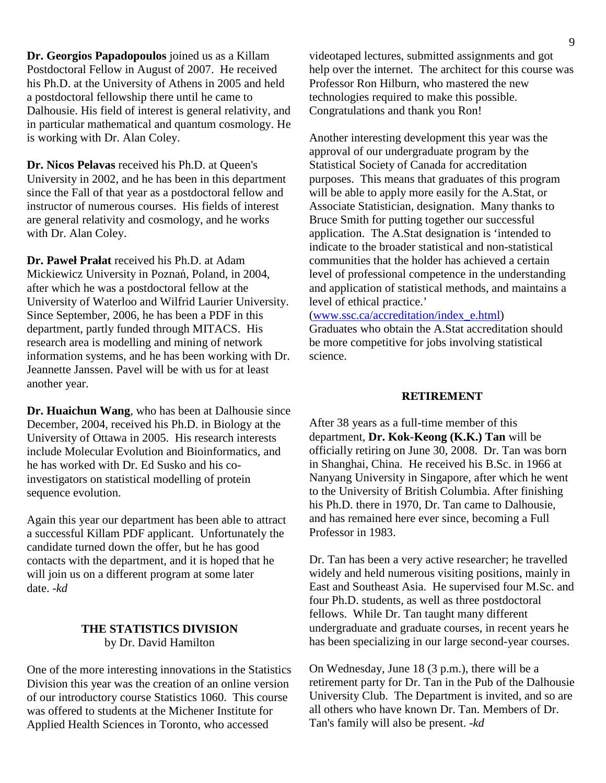**Dr. Georgios Papadopoulos** joined us as a Killam Postdoctoral Fellow in August of 2007. He received his Ph.D. at the University of Athens in 2005 and held a postdoctoral fellowship there until he came to Dalhousie. His field of interest is general relativity, and in particular mathematical and quantum cosmology. He is working with Dr. Alan Coley.

**Dr. Nicos Pelavas** received his Ph.D. at Queen's University in 2002, and he has been in this department since the Fall of that year as a postdoctoral fellow and instructor of numerous courses. His fields of interest are general relativity and cosmology, and he works with Dr. Alan Coley.

**Dr. Paweł Prałat** received his Ph.D. at Adam Mickiewicz University in Poznań, Poland, in 2004, after which he was a postdoctoral fellow at the University of Waterloo and Wilfrid Laurier University. Since September, 2006, he has been a PDF in this department, partly funded through MITACS. His research area is modelling and mining of network information systems, and he has been working with Dr. Jeannette Janssen. Pavel will be with us for at least another year.

**Dr. Huaichun Wang**, who has been at Dalhousie since December, 2004, received his Ph.D. in Biology at the University of Ottawa in 2005. His research interests include Molecular Evolution and Bioinformatics, and he has worked with Dr. Ed Susko and his coinvestigators on statistical modelling of protein sequence evolution.

Again this year our department has been able to attract a successful Killam PDF applicant. Unfortunately the candidate turned down the offer, but he has good contacts with the department, and it is hoped that he will join us on a different program at some later date. -*kd*

#### **THE STATISTICS DIVISION**  by Dr. David Hamilton

One of the more interesting innovations in the Statistics Division this year was the creation of an online version of our introductory course Statistics 1060. This course was offered to students at the Michener Institute for Applied Health Sciences in Toronto, who accessed

videotaped lectures, submitted assignments and got help over the internet. The architect for this course was Professor Ron Hilburn, who mastered the new technologies required to make this possible. Congratulations and thank you Ron!

Another interesting development this year was the approval of our undergraduate program by the Statistical Society of Canada for accreditation purposes. This means that graduates of this program will be able to apply more easily for the A.Stat, or Associate Statistician, designation. Many thanks to Bruce Smith for putting together our successful application. The A.Stat designation is 'intended to indicate to the broader statistical and non-statistical communities that the holder has achieved a certain level of professional competence in the understanding and application of statistical methods, and maintains a level of ethical practice.'

(www.ssc.ca/accreditation/index\_e.html)

Graduates who obtain the A.Stat accreditation should be more competitive for jobs involving statistical science.

# RETIREMENT

After 38 years as a full-time member of this department, **Dr. Kok-Keong (K.K.) Tan** will be officially retiring on June 30, 2008. Dr. Tan was born in Shanghai, China. He received his B.Sc. in 1966 at Nanyang University in Singapore, after which he went to the University of British Columbia. After finishing his Ph.D. there in 1970, Dr. Tan came to Dalhousie, and has remained here ever since, becoming a Full Professor in 1983.

Dr. Tan has been a very active researcher; he travelled widely and held numerous visiting positions, mainly in East and Southeast Asia. He supervised four M.Sc. and four Ph.D. students, as well as three postdoctoral fellows. While Dr. Tan taught many different undergraduate and graduate courses, in recent years he has been specializing in our large second-year courses.

On Wednesday, June 18 (3 p.m.), there will be a retirement party for Dr. Tan in the Pub of the Dalhousie University Club. The Department is invited, and so are all others who have known Dr. Tan. Members of Dr. Tan's family will also be present. -*kd*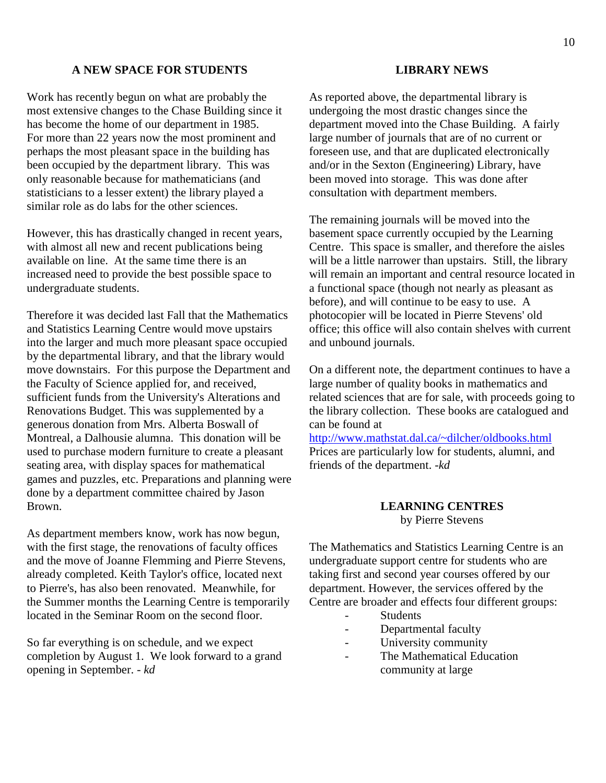#### **A NEW SPACE FOR STUDENTS**

Work has recently begun on what are probably the most extensive changes to the Chase Building since it has become the home of our department in 1985. For more than 22 years now the most prominent and perhaps the most pleasant space in the building has been occupied by the department library. This was only reasonable because for mathematicians (and statisticians to a lesser extent) the library played a similar role as do labs for the other sciences.

However, this has drastically changed in recent years, with almost all new and recent publications being available on line. At the same time there is an increased need to provide the best possible space to undergraduate students.

Therefore it was decided last Fall that the Mathematics and Statistics Learning Centre would move upstairs into the larger and much more pleasant space occupied by the departmental library, and that the library would move downstairs. For this purpose the Department and the Faculty of Science applied for, and received, sufficient funds from the University's Alterations and Renovations Budget. This was supplemented by a generous donation from Mrs. Alberta Boswall of Montreal, a Dalhousie alumna. This donation will be used to purchase modern furniture to create a pleasant seating area, with display spaces for mathematical games and puzzles, etc. Preparations and planning were done by a department committee chaired by Jason Brown.

As department members know, work has now begun, with the first stage, the renovations of faculty offices and the move of Joanne Flemming and Pierre Stevens, already completed. Keith Taylor's office, located next to Pierre's, has also been renovated. Meanwhile, for the Summer months the Learning Centre is temporarily located in the Seminar Room on the second floor.

So far everything is on schedule, and we expect completion by August 1. We look forward to a grand opening in September. - *kd*

#### **LIBRARY NEWS**

As reported above, the departmental library is undergoing the most drastic changes since the department moved into the Chase Building. A fairly large number of journals that are of no current or foreseen use, and that are duplicated electronically and/or in the Sexton (Engineering) Library, have been moved into storage. This was done after consultation with department members.

The remaining journals will be moved into the basement space currently occupied by the Learning Centre. This space is smaller, and therefore the aisles will be a little narrower than upstairs. Still, the library will remain an important and central resource located in a functional space (though not nearly as pleasant as before), and will continue to be easy to use. A photocopier will be located in Pierre Stevens' old office; this office will also contain shelves with current and unbound journals.

On a different note, the department continues to have a large number of quality books in mathematics and related sciences that are for sale, with proceeds going to the library collection. These books are catalogued and can be found at

http://www.mathstat.dal.ca/~dilcher/oldbooks.html Prices are particularly low for students, alumni, and friends of the department. -*kd*

# **LEARNING CENTRES** by Pierre Stevens

The Mathematics and Statistics Learning Centre is an undergraduate support centre for students who are taking first and second year courses offered by our department. However, the services offered by the Centre are broader and effects four different groups:

- **Students**
- Departmental faculty
- University community
- The Mathematical Education community at large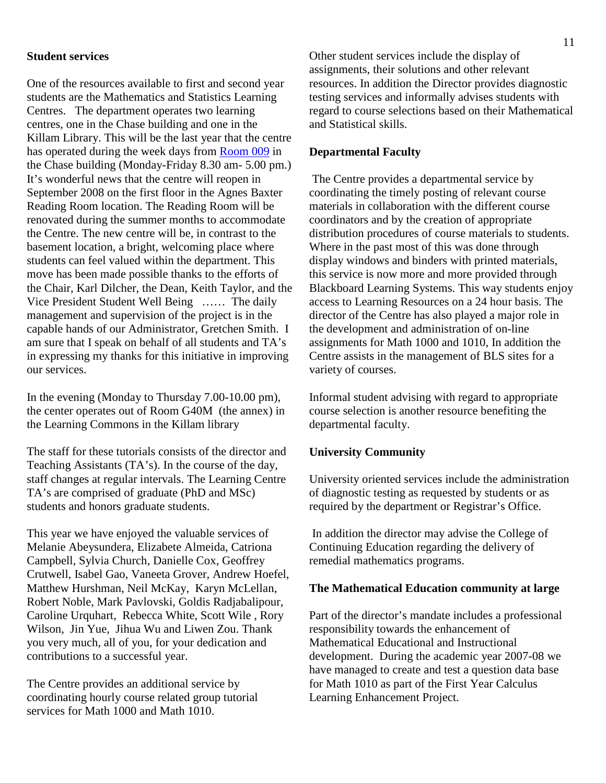#### **Student services**

One of the resources available to first and second year students are the Mathematics and Statistics Learning Centres. The department operates two learning centres, one in the Chase building and one in the Killam Library. This will be the last year that the centre has operated during the week days from Room 009 in the Chase building (Monday-Friday 8.30 am- 5.00 pm.) It's wonderful news that the centre will reopen in September 2008 on the first floor in the Agnes Baxter Reading Room location. The Reading Room will be renovated during the summer months to accommodate the Centre. The new centre will be, in contrast to the basement location, a bright, welcoming place where students can feel valued within the department. This move has been made possible thanks to the efforts of the Chair, Karl Dilcher, the Dean, Keith Taylor, and the Vice President Student Well Being …… The daily management and supervision of the project is in the capable hands of our Administrator, Gretchen Smith. I am sure that I speak on behalf of all students and TA's in expressing my thanks for this initiative in improving our services.

In the evening (Monday to Thursday 7.00-10.00 pm), the center operates out of Room G40M (the annex) in the Learning Commons in the Killam library

The staff for these tutorials consists of the director and Teaching Assistants (TA's). In the course of the day, staff changes at regular intervals. The Learning Centre TA's are comprised of graduate (PhD and MSc) students and honors graduate students.

This year we have enjoyed the valuable services of Melanie Abeysundera, Elizabete Almeida, Catriona Campbell, Sylvia Church, Danielle Cox, Geoffrey Crutwell, Isabel Gao, Vaneeta Grover, Andrew Hoefel, Matthew Hurshman, Neil McKay, Karyn McLellan, Robert Noble, Mark Pavlovski, Goldis Radjabalipour, Caroline Urquhart, Rebecca White, Scott Wile , Rory Wilson, Jin Yue, Jihua Wu and Liwen Zou. Thank you very much, all of you, for your dedication and contributions to a successful year.

The Centre provides an additional service by coordinating hourly course related group tutorial services for Math 1000 and Math 1010.

Other student services include the display of assignments, their solutions and other relevant resources. In addition the Director provides diagnostic testing services and informally advises students with regard to course selections based on their Mathematical and Statistical skills.

# **Departmental Faculty**

 The Centre provides a departmental service by coordinating the timely posting of relevant course materials in collaboration with the different course coordinators and by the creation of appropriate distribution procedures of course materials to students. Where in the past most of this was done through display windows and binders with printed materials, this service is now more and more provided through Blackboard Learning Systems. This way students enjoy access to Learning Resources on a 24 hour basis. The director of the Centre has also played a major role in the development and administration of on-line assignments for Math 1000 and 1010, In addition the Centre assists in the management of BLS sites for a variety of courses.

Informal student advising with regard to appropriate course selection is another resource benefiting the departmental faculty.

#### **University Community**

University oriented services include the administration of diagnostic testing as requested by students or as required by the department or Registrar's Office.

 In addition the director may advise the College of Continuing Education regarding the delivery of remedial mathematics programs.

#### **The Mathematical Education community at large**

Part of the director's mandate includes a professional responsibility towards the enhancement of Mathematical Educational and Instructional development. During the academic year 2007-08 we have managed to create and test a question data base for Math 1010 as part of the First Year Calculus Learning Enhancement Project.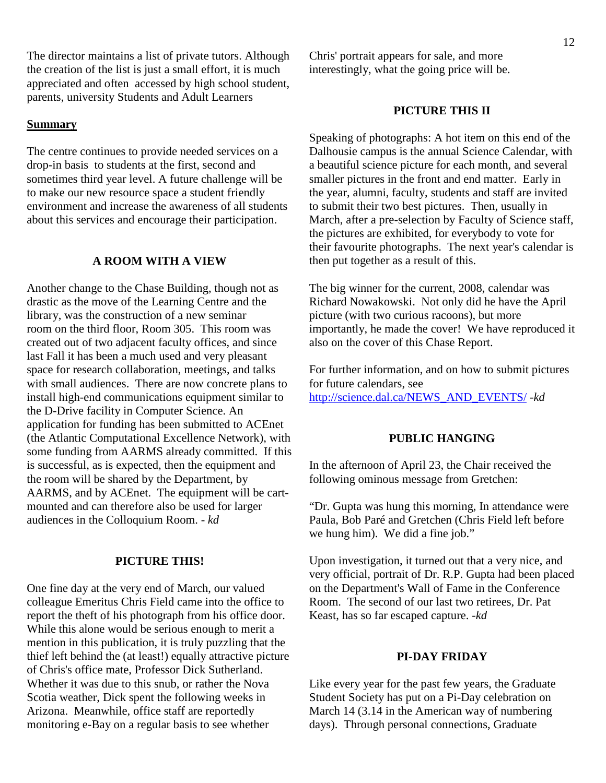The director maintains a list of private tutors. Although the creation of the list is just a small effort, it is much appreciated and often accessed by high school student, parents, university Students and Adult Learners

#### **Summary**

The centre continues to provide needed services on a drop-in basis to students at the first, second and sometimes third year level. A future challenge will be to make our new resource space a student friendly environment and increase the awareness of all students about this services and encourage their participation.

#### **A ROOM WITH A VIEW**

Another change to the Chase Building, though not as drastic as the move of the Learning Centre and the library, was the construction of a new seminar room on the third floor, Room 305. This room was created out of two adjacent faculty offices, and since last Fall it has been a much used and very pleasant space for research collaboration, meetings, and talks with small audiences. There are now concrete plans to install high-end communications equipment similar to the D-Drive facility in Computer Science. An application for funding has been submitted to ACEnet (the Atlantic Computational Excellence Network), with some funding from AARMS already committed. If this is successful, as is expected, then the equipment and the room will be shared by the Department, by AARMS, and by ACEnet. The equipment will be cartmounted and can therefore also be used for larger audiences in the Colloquium Room. - *kd* 

#### **PICTURE THIS!**

One fine day at the very end of March, our valued colleague Emeritus Chris Field came into the office to report the theft of his photograph from his office door. While this alone would be serious enough to merit a mention in this publication, it is truly puzzling that the thief left behind the (at least!) equally attractive picture of Chris's office mate, Professor Dick Sutherland. Whether it was due to this snub, or rather the Nova Scotia weather, Dick spent the following weeks in Arizona. Meanwhile, office staff are reportedly monitoring e-Bay on a regular basis to see whether

Chris' portrait appears for sale, and more interestingly, what the going price will be.

#### **PICTURE THIS II**

Speaking of photographs: A hot item on this end of the Dalhousie campus is the annual Science Calendar, with a beautiful science picture for each month, and several smaller pictures in the front and end matter. Early in the year, alumni, faculty, students and staff are invited to submit their two best pictures. Then, usually in March, after a pre-selection by Faculty of Science staff, the pictures are exhibited, for everybody to vote for their favourite photographs. The next year's calendar is then put together as a result of this.

The big winner for the current, 2008, calendar was Richard Nowakowski. Not only did he have the April picture (with two curious racoons), but more importantly, he made the cover! We have reproduced it also on the cover of this Chase Report.

For further information, and on how to submit pictures for future calendars, see http://science.dal.ca/NEWS\_AND\_EVENTS/ -*kd* 

# **PUBLIC HANGING**

In the afternoon of April 23, the Chair received the following ominous message from Gretchen:

"Dr. Gupta was hung this morning, In attendance were Paula, Bob Paré and Gretchen (Chris Field left before we hung him). We did a fine job."

Upon investigation, it turned out that a very nice, and very official, portrait of Dr. R.P. Gupta had been placed on the Department's Wall of Fame in the Conference Room. The second of our last two retirees, Dr. Pat Keast, has so far escaped capture. -*kd*

#### **PI-DAY FRIDAY**

Like every year for the past few years, the Graduate Student Society has put on a Pi-Day celebration on March 14 (3.14 in the American way of numbering days). Through personal connections, Graduate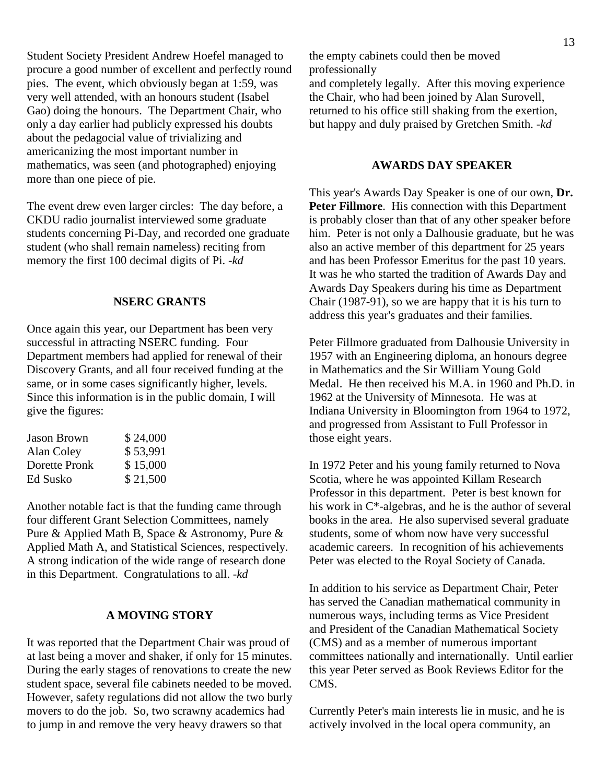Student Society President Andrew Hoefel managed to procure a good number of excellent and perfectly round pies. The event, which obviously began at 1:59, was very well attended, with an honours student (Isabel Gao) doing the honours. The Department Chair, who only a day earlier had publicly expressed his doubts about the pedagocial value of trivializing and americanizing the most important number in mathematics, was seen (and photographed) enjoying more than one piece of pie.

The event drew even larger circles: The day before, a CKDU radio journalist interviewed some graduate students concerning Pi-Day, and recorded one graduate student (who shall remain nameless) reciting from memory the first 100 decimal digits of Pi. -*kd*

# **NSERC GRANTS**

Once again this year, our Department has been very successful in attracting NSERC funding. Four Department members had applied for renewal of their Discovery Grants, and all four received funding at the same, or in some cases significantly higher, levels. Since this information is in the public domain, I will give the figures:

| \$24,000 |
|----------|
| \$53,991 |
| \$15,000 |
| \$21,500 |
|          |

Another notable fact is that the funding came through four different Grant Selection Committees, namely Pure & Applied Math B, Space & Astronomy, Pure & Applied Math A, and Statistical Sciences, respectively. A strong indication of the wide range of research done in this Department. Congratulations to all. -*kd*

#### **A MOVING STORY**

It was reported that the Department Chair was proud of at last being a mover and shaker, if only for 15 minutes. During the early stages of renovations to create the new student space, several file cabinets needed to be moved. However, safety regulations did not allow the two burly movers to do the job. So, two scrawny academics had to jump in and remove the very heavy drawers so that

the empty cabinets could then be moved professionally

and completely legally. After this moving experience the Chair, who had been joined by Alan Surovell, returned to his office still shaking from the exertion, but happy and duly praised by Gretchen Smith. -*kd*

#### **AWARDS DAY SPEAKER**

This year's Awards Day Speaker is one of our own, **Dr.**  Peter Fillmore. His connection with this Department is probably closer than that of any other speaker before him. Peter is not only a Dalhousie graduate, but he was also an active member of this department for 25 years and has been Professor Emeritus for the past 10 years. It was he who started the tradition of Awards Day and Awards Day Speakers during his time as Department Chair (1987-91), so we are happy that it is his turn to address this year's graduates and their families.

Peter Fillmore graduated from Dalhousie University in 1957 with an Engineering diploma, an honours degree in Mathematics and the Sir William Young Gold Medal. He then received his M.A. in 1960 and Ph.D. in 1962 at the University of Minnesota. He was at Indiana University in Bloomington from 1964 to 1972, and progressed from Assistant to Full Professor in those eight years.

In 1972 Peter and his young family returned to Nova Scotia, where he was appointed Killam Research Professor in this department. Peter is best known for his work in C\*-algebras, and he is the author of several books in the area. He also supervised several graduate students, some of whom now have very successful academic careers. In recognition of his achievements Peter was elected to the Royal Society of Canada.

In addition to his service as Department Chair, Peter has served the Canadian mathematical community in numerous ways, including terms as Vice President and President of the Canadian Mathematical Society (CMS) and as a member of numerous important committees nationally and internationally. Until earlier this year Peter served as Book Reviews Editor for the CMS.

Currently Peter's main interests lie in music, and he is actively involved in the local opera community, an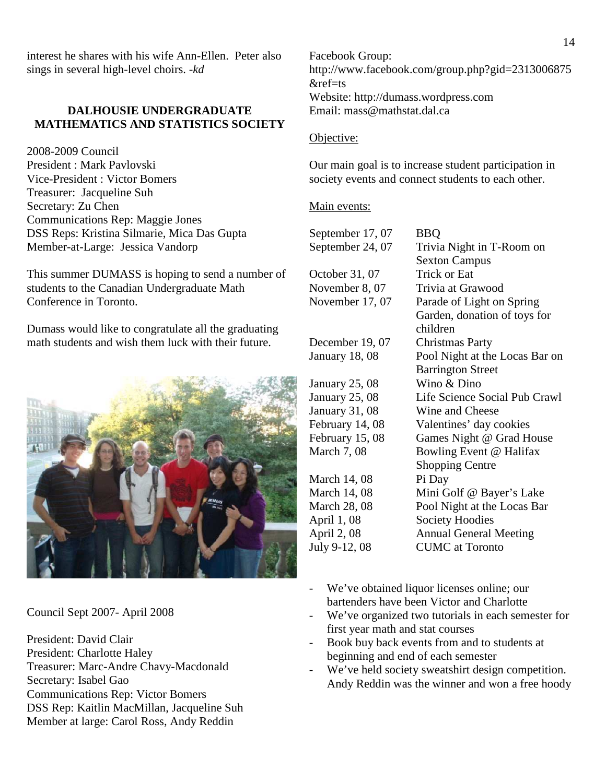interest he shares with his wife Ann-Ellen. Peter also sings in several high-level choirs. -*kd*

# **DALHOUSIE UNDERGRADUATE MATHEMATICS AND STATISTICS SOCIETY**

2008-2009 Council President : Mark Pavlovski Vice-President : Victor Bomers Treasurer: Jacqueline Suh Secretary: Zu Chen Communications Rep: Maggie Jones DSS Reps: Kristina Silmarie, Mica Das Gupta Member-at-Large: Jessica Vandorp

This summer DUMASS is hoping to send a number of students to the Canadian Undergraduate Math Conference in Toronto.

Dumass would like to congratulate all the graduating math students and wish them luck with their future.



Council Sept 2007- April 2008

President: David Clair President: Charlotte Haley Treasurer: Marc-Andre Chavy-Macdonald Secretary: Isabel Gao Communications Rep: Victor Bomers DSS Rep: Kaitlin MacMillan, Jacqueline Suh Member at large: Carol Ross, Andy Reddin

Facebook Group: http://www.facebook.com/group.php?gid=2313006875 &ref=ts Website: http://dumass.wordpress.com Email: mass@mathstat.dal.ca

# Objective:

Our main goal is to increase student participation in society events and connect students to each other.

#### Main events:

September 17, 07 BBQ October  $31,07$ November 8, 07 Trivia at Grawood December 19, 07 Christmas Party January 25, 08 Wino & Dino January 31, 08 Wine and Cheese March 14, 08 Pi Day April 1, 08 Society Hoodies July 9-12, 08 CUMC at Toronto

September 24, 07 Trivia Night in T-Room on Sexton Campus<br>Trick or Eat November 17, 07 Parade of Light on Spring Garden, donation of toys for children January 18, 08 Pool Night at the Locas Bar on Barrington Street January 25, 08 Life Science Social Pub Crawl February 14, 08 Valentines' day cookies February 15, 08 Games Night @ Grad House March 7, 08 Bowling Event @ Halifax Shopping Centre March 14, 08 Mini Golf @ Bayer's Lake March 28, 08 Pool Night at the Locas Bar April 2, 08 Annual General Meeting

- We've obtained liquor licenses online; our bartenders have been Victor and Charlotte
- We've organized two tutorials in each semester for first year math and stat courses
- Book buy back events from and to students at beginning and end of each semester
- We've held society sweatshirt design competition. Andy Reddin was the winner and won a free hoody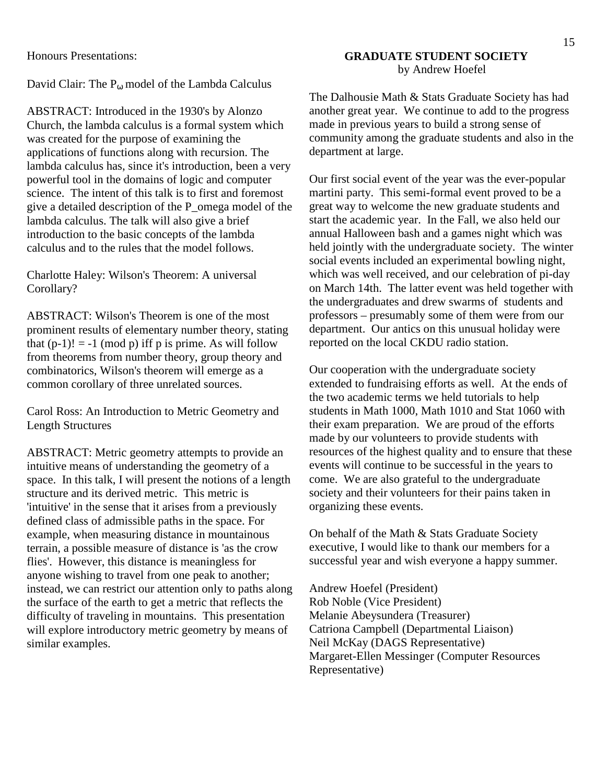Honours Presentations:

David Clair: The  $P_{\omega}$  model of the Lambda Calculus

ABSTRACT: Introduced in the 1930's by Alonzo Church, the lambda calculus is a formal system which was created for the purpose of examining the applications of functions along with recursion. The lambda calculus has, since it's introduction, been a very powerful tool in the domains of logic and computer science. The intent of this talk is to first and foremost give a detailed description of the P\_omega model of the lambda calculus. The talk will also give a brief introduction to the basic concepts of the lambda calculus and to the rules that the model follows.

Charlotte Haley: Wilson's Theorem: A universal Corollary?

ABSTRACT: Wilson's Theorem is one of the most prominent results of elementary number theory, stating that  $(p-1)! = -1 \pmod{p}$  iff p is prime. As will follow from theorems from number theory, group theory and combinatorics, Wilson's theorem will emerge as a common corollary of three unrelated sources.

Carol Ross: An Introduction to Metric Geometry and Length Structures

ABSTRACT: Metric geometry attempts to provide an intuitive means of understanding the geometry of a space. In this talk, I will present the notions of a length structure and its derived metric. This metric is 'intuitive' in the sense that it arises from a previously defined class of admissible paths in the space. For example, when measuring distance in mountainous terrain, a possible measure of distance is 'as the crow flies'. However, this distance is meaningless for anyone wishing to travel from one peak to another; instead, we can restrict our attention only to paths along the surface of the earth to get a metric that reflects the difficulty of traveling in mountains. This presentation will explore introductory metric geometry by means of similar examples.

# **GRADUATE STUDENT SOCIETY**  by Andrew Hoefel

The Dalhousie Math & Stats Graduate Society has had another great year. We continue to add to the progress made in previous years to build a strong sense of community among the graduate students and also in the department at large.

Our first social event of the year was the ever-popular martini party. This semi-formal event proved to be a great way to welcome the new graduate students and start the academic year. In the Fall, we also held our annual Halloween bash and a games night which was held jointly with the undergraduate society. The winter social events included an experimental bowling night, which was well received, and our celebration of pi-day on March 14th. The latter event was held together with the undergraduates and drew swarms of students and professors – presumably some of them were from our department. Our antics on this unusual holiday were reported on the local CKDU radio station.

Our cooperation with the undergraduate society extended to fundraising efforts as well. At the ends of the two academic terms we held tutorials to help students in Math 1000, Math 1010 and Stat 1060 with their exam preparation. We are proud of the efforts made by our volunteers to provide students with resources of the highest quality and to ensure that these events will continue to be successful in the years to come. We are also grateful to the undergraduate society and their volunteers for their pains taken in organizing these events.

On behalf of the Math & Stats Graduate Society executive, I would like to thank our members for a successful year and wish everyone a happy summer.

Andrew Hoefel (President) Rob Noble (Vice President) Melanie Abeysundera (Treasurer) Catriona Campbell (Departmental Liaison) Neil McKay (DAGS Representative) Margaret-Ellen Messinger (Computer Resources Representative)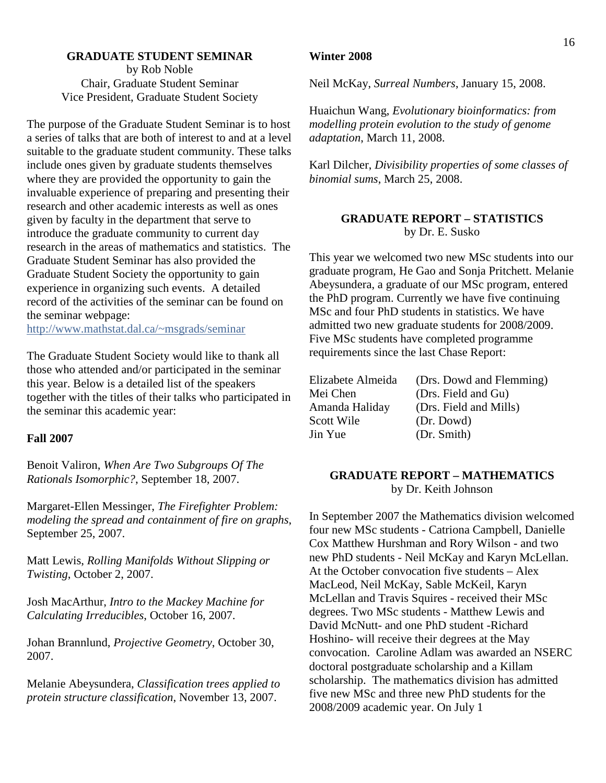# **GRADUATE STUDENT SEMINAR**  by Rob Noble Chair, Graduate Student Seminar Vice President, Graduate Student Society

The purpose of the Graduate Student Seminar is to host a series of talks that are both of interest to and at a level suitable to the graduate student community. These talks include ones given by graduate students themselves where they are provided the opportunity to gain the invaluable experience of preparing and presenting their research and other academic interests as well as ones given by faculty in the department that serve to introduce the graduate community to current day research in the areas of mathematics and statistics. The Graduate Student Seminar has also provided the Graduate Student Society the opportunity to gain experience in organizing such events. A detailed record of the activities of the seminar can be found on the seminar webpage:

http://www.mathstat.dal.ca/~msgrads/seminar

The Graduate Student Society would like to thank all those who attended and/or participated in the seminar this year. Below is a detailed list of the speakers together with the titles of their talks who participated in the seminar this academic year:

#### **Fall 2007**

Benoit Valiron, *When Are Two Subgroups Of The Rationals Isomorphic?*, September 18, 2007.

Margaret-Ellen Messinger, *The Firefighter Problem: modeling the spread and containment of fire on graphs*, September 25, 2007.

Matt Lewis, *Rolling Manifolds Without Slipping or Twisting*, October 2, 2007.

Josh MacArthur, *Intro to the Mackey Machine for Calculating Irreducibles*, October 16, 2007.

Johan Brannlund, *Projective Geometry*, October 30, 2007.

Melanie Abeysundera, *Classification trees applied to protein structure classification*, November 13, 2007.

#### **Winter 2008**

Neil McKay, *Surreal Numbers*, January 15, 2008.

Huaichun Wang, *Evolutionary bioinformatics: from modelling protein evolution to the study of genome adaptation*, March 11, 2008.

Karl Dilcher, *Divisibility properties of some classes of binomial sums*, March 25, 2008.

# **GRADUATE REPORT – STATISTICS**  by Dr. E. Susko

This year we welcomed two new MSc students into our graduate program, He Gao and Sonja Pritchett. Melanie Abeysundera, a graduate of our MSc program, entered the PhD program. Currently we have five continuing MSc and four PhD students in statistics. We have admitted two new graduate students for 2008/2009. Five MSc students have completed programme requirements since the last Chase Report:

| Elizabete Almeida |
|-------------------|
| Mei Chen          |
| Amanda Haliday    |
| Scott Wile        |
| Jin Yue           |

(Drs. Dowd and Flemming) (Drs. Field and Gu) (Drs. Field and Mills)  $(Dr.$  Dowd) (Dr. Smith)

# **GRADUATE REPORT – MATHEMATICS**  by Dr. Keith Johnson

In September 2007 the Mathematics division welcomed four new MSc students - Catriona Campbell, Danielle Cox Matthew Hurshman and Rory Wilson - and two new PhD students - Neil McKay and Karyn McLellan. At the October convocation five students – Alex MacLeod, Neil McKay, Sable McKeil, Karyn McLellan and Travis Squires - received their MSc degrees. Two MSc students - Matthew Lewis and David McNutt- and one PhD student -Richard Hoshino- will receive their degrees at the May convocation. Caroline Adlam was awarded an NSERC doctoral postgraduate scholarship and a Killam scholarship. The mathematics division has admitted five new MSc and three new PhD students for the 2008/2009 academic year. On July 1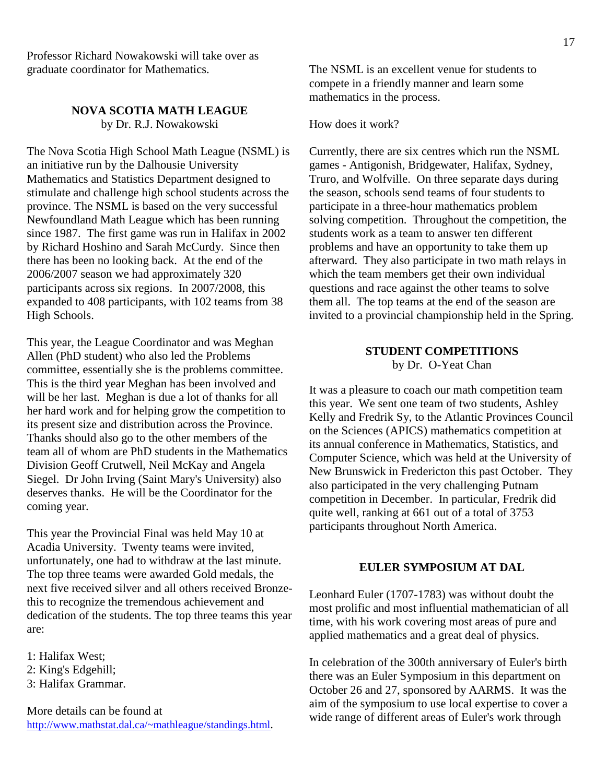Professor Richard Nowakowski will take over as graduate coordinator for Mathematics.

# **NOVA SCOTIA MATH LEAGUE** by Dr. R.J. Nowakowski

The Nova Scotia High School Math League (NSML) is an initiative run by the Dalhousie University Mathematics and Statistics Department designed to stimulate and challenge high school students across the province. The NSML is based on the very successful Newfoundland Math League which has been running since 1987. The first game was run in Halifax in 2002 by Richard Hoshino and Sarah McCurdy. Since then there has been no looking back. At the end of the 2006/2007 season we had approximately 320 participants across six regions. In 2007/2008, this expanded to 408 participants, with 102 teams from 38 High Schools.

This year, the League Coordinator and was Meghan Allen (PhD student) who also led the Problems committee, essentially she is the problems committee. This is the third year Meghan has been involved and will be her last. Meghan is due a lot of thanks for all her hard work and for helping grow the competition to its present size and distribution across the Province. Thanks should also go to the other members of the team all of whom are PhD students in the Mathematics Division Geoff Crutwell, Neil McKay and Angela Siegel. Dr John Irving (Saint Mary's University) also deserves thanks. He will be the Coordinator for the coming year.

This year the Provincial Final was held May 10 at Acadia University. Twenty teams were invited, unfortunately, one had to withdraw at the last minute. The top three teams were awarded Gold medals, the next five received silver and all others received Bronzethis to recognize the tremendous achievement and dedication of the students. The top three teams this year are:

1: Halifax West;

- 2: King's Edgehill;
- 3: Halifax Grammar.

More details can be found at http://www.mathstat.dal.ca/~mathleague/standings.html. The NSML is an excellent venue for students to compete in a friendly manner and learn some mathematics in the process.

# How does it work?

Currently, there are six centres which run the NSML games - Antigonish, Bridgewater, Halifax, Sydney, Truro, and Wolfville. On three separate days during the season, schools send teams of four students to participate in a three-hour mathematics problem solving competition. Throughout the competition, the students work as a team to answer ten different problems and have an opportunity to take them up afterward. They also participate in two math relays in which the team members get their own individual questions and race against the other teams to solve them all. The top teams at the end of the season are invited to a provincial championship held in the Spring.

# **STUDENT COMPETITIONS**  by Dr. O-Yeat Chan

It was a pleasure to coach our math competition team this year. We sent one team of two students, Ashley Kelly and Fredrik Sy, to the Atlantic Provinces Council on the Sciences (APICS) mathematics competition at its annual conference in Mathematics, Statistics, and Computer Science, which was held at the University of New Brunswick in Fredericton this past October. They also participated in the very challenging Putnam competition in December. In particular, Fredrik did quite well, ranking at 661 out of a total of 3753 participants throughout North America.

#### **EULER SYMPOSIUM AT DAL**

Leonhard Euler (1707-1783) was without doubt the most prolific and most influential mathematician of all time, with his work covering most areas of pure and applied mathematics and a great deal of physics.

In celebration of the 300th anniversary of Euler's birth there was an Euler Symposium in this department on October 26 and 27, sponsored by AARMS. It was the aim of the symposium to use local expertise to cover a wide range of different areas of Euler's work through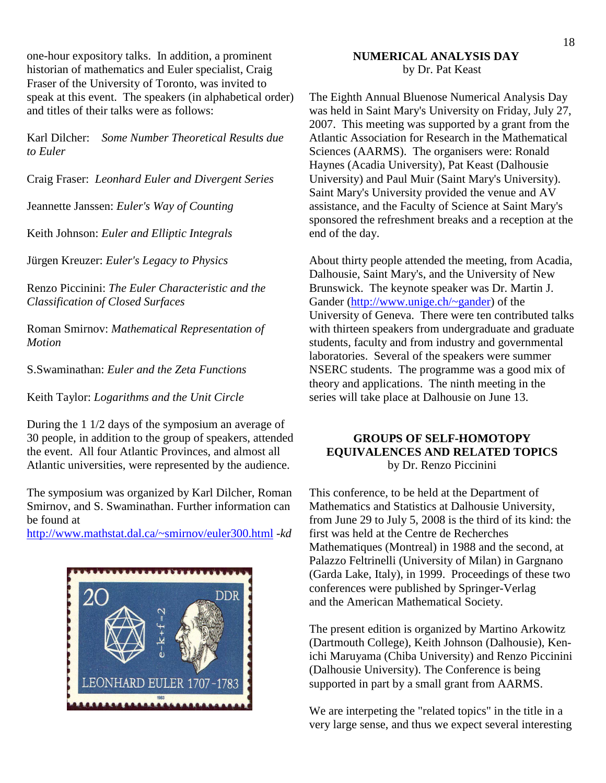one-hour expository talks. In addition, a prominent historian of mathematics and Euler specialist, Craig Fraser of the University of Toronto, was invited to speak at this event. The speakers (in alphabetical order) and titles of their talks were as follows:

Karl Dilcher: *Some Number Theoretical Results due to Euler* 

Craig Fraser: *Leonhard Euler and Divergent Series*

Jeannette Janssen: *Euler's Way of Counting*

Keith Johnson: *Euler and Elliptic Integrals* 

Jürgen Kreuzer: *Euler's Legacy to Physics*

Renzo Piccinini: *The Euler Characteristic and the Classification of Closed Surfaces* 

Roman Smirnov: *Mathematical Representation of Motion* 

S.Swaminathan: *Euler and the Zeta Functions*

Keith Taylor: *Logarithms and the Unit Circle* 

During the 1 1/2 days of the symposium an average of 30 people, in addition to the group of speakers, attended the event. All four Atlantic Provinces, and almost all Atlantic universities, were represented by the audience.

The symposium was organized by Karl Dilcher, Roman Smirnov, and S. Swaminathan. Further information can be found at

http://www.mathstat.dal.ca/~smirnov/euler300.html -*kd*



# **NUMERICAL ANALYSIS DAY**  by Dr. Pat Keast

The Eighth Annual Bluenose Numerical Analysis Day was held in Saint Mary's University on Friday, July 27, 2007. This meeting was supported by a grant from the Atlantic Association for Research in the Mathematical Sciences (AARMS). The organisers were: Ronald Haynes (Acadia University), Pat Keast (Dalhousie University) and Paul Muir (Saint Mary's University). Saint Mary's University provided the venue and AV assistance, and the Faculty of Science at Saint Mary's sponsored the refreshment breaks and a reception at the end of the day.

About thirty people attended the meeting, from Acadia, Dalhousie, Saint Mary's, and the University of New Brunswick. The keynote speaker was Dr. Martin J. Gander (http://www.unige.ch/~gander) of the University of Geneva. There were ten contributed talks with thirteen speakers from undergraduate and graduate students, faculty and from industry and governmental laboratories. Several of the speakers were summer NSERC students. The programme was a good mix of theory and applications. The ninth meeting in the series will take place at Dalhousie on June 13.

# **GROUPS OF SELF-HOMOTOPY EQUIVALENCES AND RELATED TOPICS**  by Dr. Renzo Piccinini

This conference, to be held at the Department of Mathematics and Statistics at Dalhousie University, from June 29 to July 5, 2008 is the third of its kind: the first was held at the Centre de Recherches Mathematiques (Montreal) in 1988 and the second, at Palazzo Feltrinelli (University of Milan) in Gargnano (Garda Lake, Italy), in 1999. Proceedings of these two conferences were published by Springer-Verlag and the American Mathematical Society.

The present edition is organized by Martino Arkowitz (Dartmouth College), Keith Johnson (Dalhousie), Kenichi Maruyama (Chiba University) and Renzo Piccinini (Dalhousie University). The Conference is being supported in part by a small grant from AARMS.

We are interpeting the "related topics" in the title in a very large sense, and thus we expect several interesting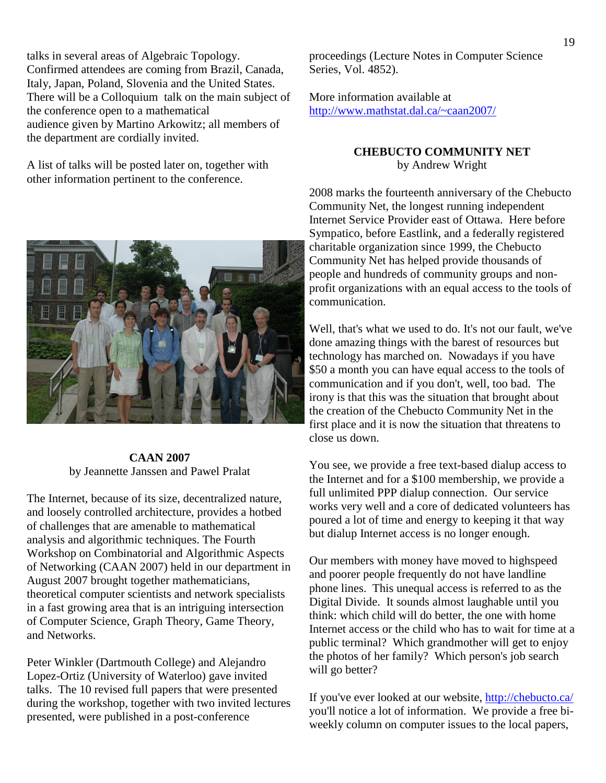talks in several areas of Algebraic Topology. Confirmed attendees are coming from Brazil, Canada, Italy, Japan, Poland, Slovenia and the United States. There will be a Colloquium talk on the main subject of the conference open to a mathematical audience given by Martino Arkowitz; all members of the department are cordially invited.

A list of talks will be posted later on, together with other information pertinent to the conference.



More information available at http://www.mathstat.dal.ca/~caan2007/

# **CHEBUCTO COMMUNITY NET**  by Andrew Wright

2008 marks the fourteenth anniversary of the Chebucto Community Net, the longest running independent Internet Service Provider east of Ottawa. Here before Sympatico, before Eastlink, and a federally registered charitable organization since 1999, the Chebucto Community Net has helped provide thousands of people and hundreds of community groups and nonprofit organizations with an equal access to the tools of communication.

Well, that's what we used to do. It's not our fault, we've done amazing things with the barest of resources but technology has marched on. Nowadays if you have \$50 a month you can have equal access to the tools of communication and if you don't, well, too bad. The irony is that this was the situation that brought about the creation of the Chebucto Community Net in the first place and it is now the situation that threatens to close us down.

You see, we provide a free text-based dialup access to the Internet and for a \$100 membership, we provide a full unlimited PPP dialup connection. Our service works very well and a core of dedicated volunteers has poured a lot of time and energy to keeping it that way but dialup Internet access is no longer enough.

Our members with money have moved to highspeed and poorer people frequently do not have landline phone lines. This unequal access is referred to as the Digital Divide. It sounds almost laughable until you think: which child will do better, the one with home Internet access or the child who has to wait for time at a public terminal? Which grandmother will get to enjoy the photos of her family? Which person's job search will go better?

If you've ever looked at our website, http://chebucto.ca/ you'll notice a lot of information. We provide a free biweekly column on computer issues to the local papers,



The Internet, because of its size, decentralized nature, and loosely controlled architecture, provides a hotbed of challenges that are amenable to mathematical analysis and algorithmic techniques. The Fourth Workshop on Combinatorial and Algorithmic Aspects of Networking (CAAN 2007) held in our department in August 2007 brought together mathematicians, theoretical computer scientists and network specialists in a fast growing area that is an intriguing intersection of Computer Science, Graph Theory, Game Theory, and Networks.

Peter Winkler (Dartmouth College) and Alejandro Lopez-Ortiz (University of Waterloo) gave invited talks. The 10 revised full papers that were presented during the workshop, together with two invited lectures presented, were published in a post-conference

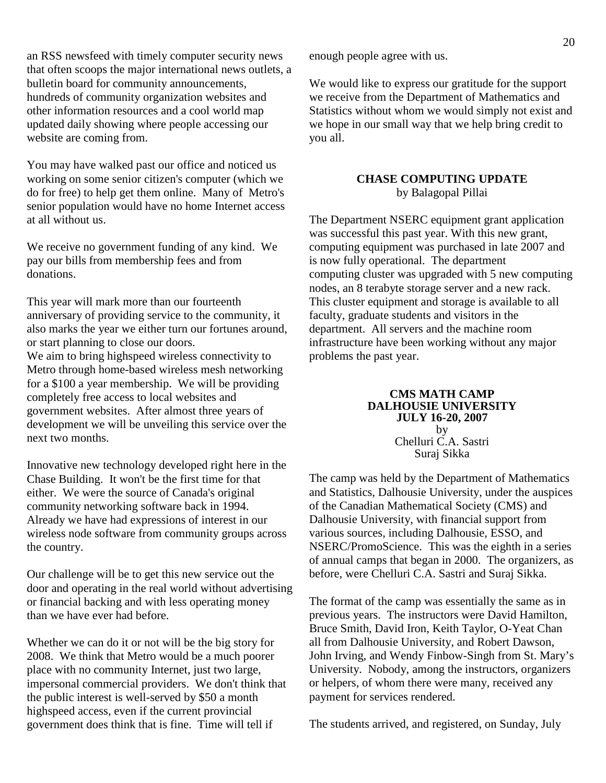an RSS newsfeed with timely computer security news that often scoops the major international news outlets, a bulletin board for community announcements, hundreds of community organization websites and other information resources and a cool world map updated daily showing where people accessing our website are coming from.

You may have walked past our office and noticed us working on some senior citizen's computer (which we do for free) to help get them online. Many of Metro's senior population would have no home Internet access at all without us.

We receive no government funding of any kind. We pay our bills from membership fees and from donations.

This year will mark more than our fourteenth anniversary of providing service to the community, it also marks the year we either turn our fortunes around, or start planning to close our doors. We aim to bring highspeed wireless connectivity to Metro through home-based wireless mesh networking for a \$100 a year membership. We will be providing completely free access to local websites and government websites. After almost three years of

development we will be unveiling this service over the next two months.

Innovative new technology developed right here in the Chase Building. It won't be the first time for that either. We were the source of Canada's original community networking software back in 1994. Already we have had expressions of interest in our wireless node software from community groups across the country.

Our challenge will be to get this new service out the door and operating in the real world without advertising or financial backing and with less operating money than we have ever had before.

Whether we can do it or not will be the big story for 2008. We think that Metro would be a much poorer place with no community Internet, just two large, impersonal commercial providers. We don't think that the public interest is well-served by \$50 a month highspeed access, even if the current provincial government does think that is fine. Time will tell if

enough people agree with us.

We would like to express our gratitude for the support we receive from the Department of Mathematics and Statistics without whom we would simply not exist and we hope in our small way that we help bring credit to you all.

# **CHASE COMPUTING UPDATE**  by Balagopal Pillai

The Department NSERC equipment grant application was successful this past year. With this new grant, computing equipment was purchased in late 2007 and is now fully operational. The department computing cluster was upgraded with 5 new computing nodes, an 8 terabyte storage server and a new rack. This cluster equipment and storage is available to all faculty, graduate students and visitors in the department. All servers and the machine room infrastructure have been working without any major problems the past year.

#### **CMS MATH CAMP DALHOUSIE UNIVERSITY JULY 16-20, 2007**  by Chelluri C.A. Sastri Suraj Sikka

The camp was held by the Department of Mathematics and Statistics, Dalhousie University, under the auspices of the Canadian Mathematical Society (CMS) and Dalhousie University, with financial support from various sources, including Dalhousie, ESSO, and NSERC/PromoScience. This was the eighth in a series of annual camps that began in 2000. The organizers, as before, were Chelluri C.A. Sastri and Suraj Sikka.

The format of the camp was essentially the same as in previous years. The instructors were David Hamilton, Bruce Smith, David Iron, Keith Taylor, O-Yeat Chan all from Dalhousie University, and Robert Dawson, John Irving, and Wendy Finbow-Singh from St. Mary's University. Nobody, among the instructors, organizers or helpers, of whom there were many, received any payment for services rendered.

The students arrived, and registered, on Sunday, July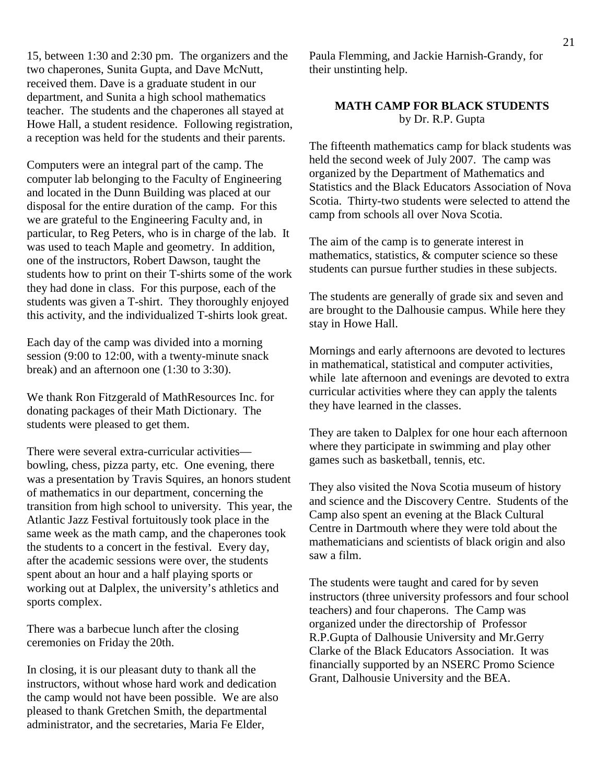15, between 1:30 and 2:30 pm. The organizers and the two chaperones, Sunita Gupta, and Dave McNutt, received them. Dave is a graduate student in our department, and Sunita a high school mathematics teacher. The students and the chaperones all stayed at Howe Hall, a student residence. Following registration, a reception was held for the students and their parents.

Computers were an integral part of the camp. The computer lab belonging to the Faculty of Engineering and located in the Dunn Building was placed at our disposal for the entire duration of the camp. For this we are grateful to the Engineering Faculty and, in particular, to Reg Peters, who is in charge of the lab. It was used to teach Maple and geometry. In addition, one of the instructors, Robert Dawson, taught the students how to print on their T-shirts some of the work they had done in class. For this purpose, each of the students was given a T-shirt. They thoroughly enjoyed this activity, and the individualized T-shirts look great.

Each day of the camp was divided into a morning session (9:00 to 12:00, with a twenty-minute snack break) and an afternoon one (1:30 to 3:30).

We thank Ron Fitzgerald of MathResources Inc. for donating packages of their Math Dictionary. The students were pleased to get them.

There were several extra-curricular activities bowling, chess, pizza party, etc. One evening, there was a presentation by Travis Squires, an honors student of mathematics in our department, concerning the transition from high school to university. This year, the Atlantic Jazz Festival fortuitously took place in the same week as the math camp, and the chaperones took the students to a concert in the festival. Every day, after the academic sessions were over, the students spent about an hour and a half playing sports or working out at Dalplex, the university's athletics and sports complex.

There was a barbecue lunch after the closing ceremonies on Friday the 20th.

In closing, it is our pleasant duty to thank all the instructors, without whose hard work and dedication the camp would not have been possible. We are also pleased to thank Gretchen Smith, the departmental administrator, and the secretaries, Maria Fe Elder,

Paula Flemming, and Jackie Harnish-Grandy, for their unstinting help.

# **MATH CAMP FOR BLACK STUDENTS**  by Dr. R.P. Gupta

The fifteenth mathematics camp for black students was held the second week of July 2007. The camp was organized by the Department of Mathematics and Statistics and the Black Educators Association of Nova Scotia. Thirty-two students were selected to attend the camp from schools all over Nova Scotia.

The aim of the camp is to generate interest in mathematics, statistics, & computer science so these students can pursue further studies in these subjects.

The students are generally of grade six and seven and are brought to the Dalhousie campus. While here they stay in Howe Hall.

Mornings and early afternoons are devoted to lectures in mathematical, statistical and computer activities, while late afternoon and evenings are devoted to extra curricular activities where they can apply the talents they have learned in the classes.

They are taken to Dalplex for one hour each afternoon where they participate in swimming and play other games such as basketball, tennis, etc.

They also visited the Nova Scotia museum of history and science and the Discovery Centre. Students of the Camp also spent an evening at the Black Cultural Centre in Dartmouth where they were told about the mathematicians and scientists of black origin and also saw a film.

The students were taught and cared for by seven instructors (three university professors and four school teachers) and four chaperons. The Camp was organized under the directorship of Professor R.P.Gupta of Dalhousie University and Mr.Gerry Clarke of the Black Educators Association. It was financially supported by an NSERC Promo Science Grant, Dalhousie University and the BEA.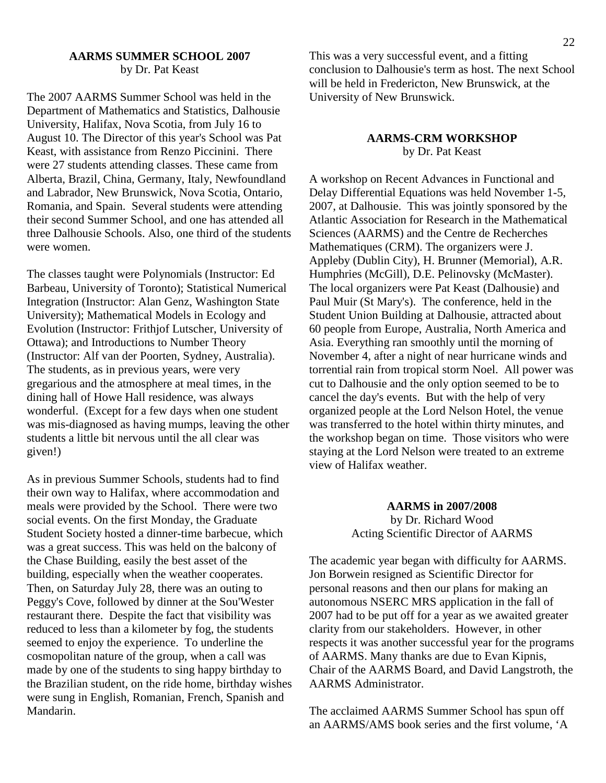#### **AARMS SUMMER SCHOOL 2007**  by Dr. Pat Keast

The 2007 AARMS Summer School was held in the Department of Mathematics and Statistics, Dalhousie University, Halifax, Nova Scotia, from July 16 to August 10. The Director of this year's School was Pat Keast, with assistance from Renzo Piccinini. There were 27 students attending classes. These came from Alberta, Brazil, China, Germany, Italy, Newfoundland and Labrador, New Brunswick, Nova Scotia, Ontario, Romania, and Spain. Several students were attending their second Summer School, and one has attended all three Dalhousie Schools. Also, one third of the students were women.

The classes taught were Polynomials (Instructor: Ed Barbeau, University of Toronto); Statistical Numerical Integration (Instructor: Alan Genz, Washington State University); Mathematical Models in Ecology and Evolution (Instructor: Frithjof Lutscher, University of Ottawa); and Introductions to Number Theory (Instructor: Alf van der Poorten, Sydney, Australia). The students, as in previous years, were very gregarious and the atmosphere at meal times, in the dining hall of Howe Hall residence, was always wonderful. (Except for a few days when one student was mis-diagnosed as having mumps, leaving the other students a little bit nervous until the all clear was given!)

As in previous Summer Schools, students had to find their own way to Halifax, where accommodation and meals were provided by the School. There were two social events. On the first Monday, the Graduate Student Society hosted a dinner-time barbecue, which was a great success. This was held on the balcony of the Chase Building, easily the best asset of the building, especially when the weather cooperates. Then, on Saturday July 28, there was an outing to Peggy's Cove, followed by dinner at the Sou'Wester restaurant there. Despite the fact that visibility was reduced to less than a kilometer by fog, the students seemed to enjoy the experience. To underline the cosmopolitan nature of the group, when a call was made by one of the students to sing happy birthday to the Brazilian student, on the ride home, birthday wishes were sung in English, Romanian, French, Spanish and Mandarin.

This was a very successful event, and a fitting conclusion to Dalhousie's term as host. The next School will be held in Fredericton, New Brunswick, at the University of New Brunswick.

#### **AARMS-CRM WORKSHOP**  by Dr. Pat Keast

A workshop on Recent Advances in Functional and Delay Differential Equations was held November 1-5, 2007, at Dalhousie. This was jointly sponsored by the Atlantic Association for Research in the Mathematical Sciences (AARMS) and the Centre de Recherches Mathematiques (CRM). The organizers were J. Appleby (Dublin City), H. Brunner (Memorial), A.R. Humphries (McGill), D.E. Pelinovsky (McMaster). The local organizers were Pat Keast (Dalhousie) and Paul Muir (St Mary's). The conference, held in the Student Union Building at Dalhousie, attracted about 60 people from Europe, Australia, North America and Asia. Everything ran smoothly until the morning of November 4, after a night of near hurricane winds and torrential rain from tropical storm Noel. All power was cut to Dalhousie and the only option seemed to be to cancel the day's events. But with the help of very organized people at the Lord Nelson Hotel, the venue was transferred to the hotel within thirty minutes, and the workshop began on time. Those visitors who were staying at the Lord Nelson were treated to an extreme view of Halifax weather.

> **AARMS in 2007/2008** by Dr. Richard Wood Acting Scientific Director of AARMS

The academic year began with difficulty for AARMS. Jon Borwein resigned as Scientific Director for personal reasons and then our plans for making an autonomous NSERC MRS application in the fall of 2007 had to be put off for a year as we awaited greater clarity from our stakeholders. However, in other respects it was another successful year for the programs of AARMS. Many thanks are due to Evan Kipnis, Chair of the AARMS Board, and David Langstroth, the AARMS Administrator.

The acclaimed AARMS Summer School has spun off an AARMS/AMS book series and the first volume, 'A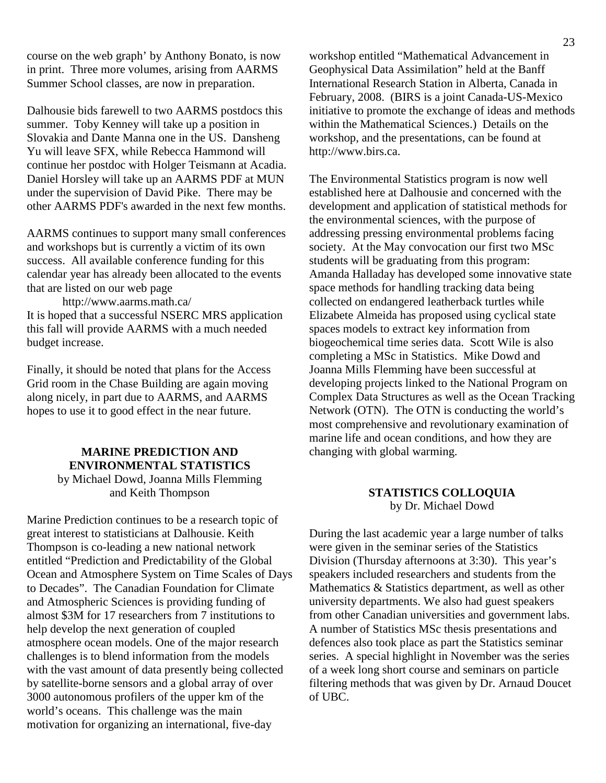course on the web graph' by Anthony Bonato, is now in print. Three more volumes, arising from AARMS Summer School classes, are now in preparation.

Dalhousie bids farewell to two AARMS postdocs this summer. Toby Kenney will take up a position in Slovakia and Dante Manna one in the US. Dansheng Yu will leave SFX, while Rebecca Hammond will continue her postdoc with Holger Teismann at Acadia. Daniel Horsley will take up an AARMS PDF at MUN under the supervision of David Pike. There may be other AARMS PDF's awarded in the next few months.

AARMS continues to support many small conferences and workshops but is currently a victim of its own success. All available conference funding for this calendar year has already been allocated to the events that are listed on our web page

http://www.aarms.math.ca/ It is hoped that a successful NSERC MRS application this fall will provide AARMS with a much needed budget increase.

Finally, it should be noted that plans for the Access Grid room in the Chase Building are again moving along nicely, in part due to AARMS, and AARMS hopes to use it to good effect in the near future.

# **MARINE PREDICTION AND ENVIRONMENTAL STATISTICS**  by Michael Dowd, Joanna Mills Flemming

and Keith Thompson

Marine Prediction continues to be a research topic of great interest to statisticians at Dalhousie. Keith Thompson is co-leading a new national network entitled "Prediction and Predictability of the Global Ocean and Atmosphere System on Time Scales of Days to Decades". The Canadian Foundation for Climate and Atmospheric Sciences is providing funding of almost \$3M for 17 researchers from 7 institutions to help develop the next generation of coupled atmosphere ocean models. One of the major research challenges is to blend information from the models with the vast amount of data presently being collected by satellite-borne sensors and a global array of over 3000 autonomous profilers of the upper km of the world's oceans. This challenge was the main motivation for organizing an international, five-day

workshop entitled "Mathematical Advancement in Geophysical Data Assimilation" held at the Banff International Research Station in Alberta, Canada in February, 2008. (BIRS is a joint Canada-US-Mexico initiative to promote the exchange of ideas and methods within the Mathematical Sciences.) Details on the workshop, and the presentations, can be found at http://www.birs.ca.

The Environmental Statistics program is now well established here at Dalhousie and concerned with the development and application of statistical methods for the environmental sciences, with the purpose of addressing pressing environmental problems facing society. At the May convocation our first two MSc students will be graduating from this program: Amanda Halladay has developed some innovative state space methods for handling tracking data being collected on endangered leatherback turtles while Elizabete Almeida has proposed using cyclical state spaces models to extract key information from biogeochemical time series data. Scott Wile is also completing a MSc in Statistics. Mike Dowd and Joanna Mills Flemming have been successful at developing projects linked to the National Program on Complex Data Structures as well as the Ocean Tracking Network (OTN). The OTN is conducting the world's most comprehensive and revolutionary examination of marine life and ocean conditions, and how they are changing with global warming.

# **STATISTICS COLLOQUIA** by Dr. Michael Dowd

During the last academic year a large number of talks were given in the seminar series of the Statistics Division (Thursday afternoons at 3:30). This year's speakers included researchers and students from the Mathematics & Statistics department, as well as other university departments. We also had guest speakers from other Canadian universities and government labs. A number of Statistics MSc thesis presentations and defences also took place as part the Statistics seminar series. A special highlight in November was the series of a week long short course and seminars on particle filtering methods that was given by Dr. Arnaud Doucet of UBC.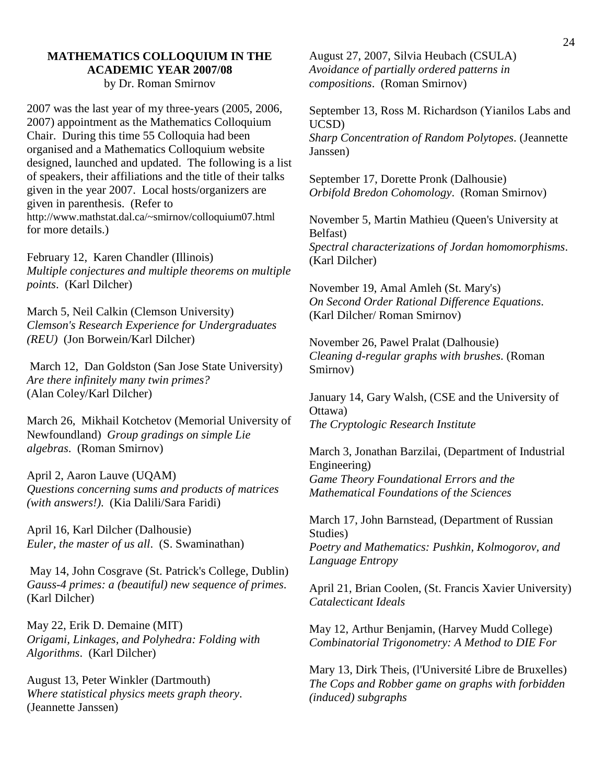#### **MATHEMATICS COLLOQUIUM IN THE ACADEMIC YEAR 2007/08**  by Dr. Roman Smirnov

2007 was the last year of my three-years (2005, 2006, 2007) appointment as the Mathematics Colloquium Chair. During this time 55 Colloquia had been organised and a Mathematics Colloquium website designed, launched and updated. The following is a list of speakers, their affiliations and the title of their talks given in the year 2007. Local hosts/organizers are given in parenthesis. (Refer to http://www.mathstat.dal.ca/~smirnov/colloquium07.html for more details.)

February 12, Karen Chandler (Illinois) *Multiple conjectures and multiple theorems on multiple points*. (Karl Dilcher)

March 5, Neil Calkin (Clemson University) *Clemson's Research Experience for Undergraduates (REU)* (Jon Borwein/Karl Dilcher)

 March 12, Dan Goldston (San Jose State University) *Are there infinitely many twin primes?* (Alan Coley/Karl Dilcher)

March 26, Mikhail Kotchetov (Memorial University of Newfoundland) *Group gradings on simple Lie algebras*. (Roman Smirnov)

April 2, Aaron Lauve (UQAM) *Questions concerning sums and products of matrices (with answers!)*. (Kia Dalili/Sara Faridi)

April 16, Karl Dilcher (Dalhousie) *Euler, the master of us all*. (S. Swaminathan)

 May 14, John Cosgrave (St. Patrick's College, Dublin) *Gauss-4 primes: a (beautiful) new sequence of primes*. (Karl Dilcher)

May 22, Erik D. Demaine (MIT) *Origami, Linkages, and Polyhedra: Folding with Algorithms*. (Karl Dilcher)

August 13, Peter Winkler (Dartmouth) *Where statistical physics meets graph theory*. (Jeannette Janssen)

August 27, 2007, Silvia Heubach (CSULA) *Avoidance of partially ordered patterns in compositions*. (Roman Smirnov)

September 13, Ross M. Richardson (Yianilos Labs and UCSD) *Sharp Concentration of Random Polytopes*. (Jeannette Janssen)

September 17, Dorette Pronk (Dalhousie) *Orbifold Bredon Cohomology*. (Roman Smirnov)

November 5, Martin Mathieu (Queen's University at Belfast) *Spectral characterizations of Jordan homomorphisms*. (Karl Dilcher)

November 19, Amal Amleh (St. Mary's) *On Second Order Rational Difference Equations*. (Karl Dilcher/ Roman Smirnov)

November 26, Pawel Pralat (Dalhousie) *Cleaning d-regular graphs with brushes*. (Roman Smirnov)

January 14, Gary Walsh, (CSE and the University of Ottawa) *The Cryptologic Research Institute*

March 3, Jonathan Barzilai, (Department of Industrial Engineering) *Game Theory Foundational Errors and the Mathematical Foundations of the Sciences*

March 17, John Barnstead, (Department of Russian Studies) *Poetry and Mathematics: Pushkin, Kolmogorov, and Language Entropy*

April 21, Brian Coolen, (St. Francis Xavier University) *Catalecticant Ideals*

May 12, Arthur Benjamin, (Harvey Mudd College) *Combinatorial Trigonometry: A Method to DIE For*

Mary 13, Dirk Theis, (l'Université Libre de Bruxelles) *The Cops and Robber game on graphs with forbidden (induced) subgraphs*